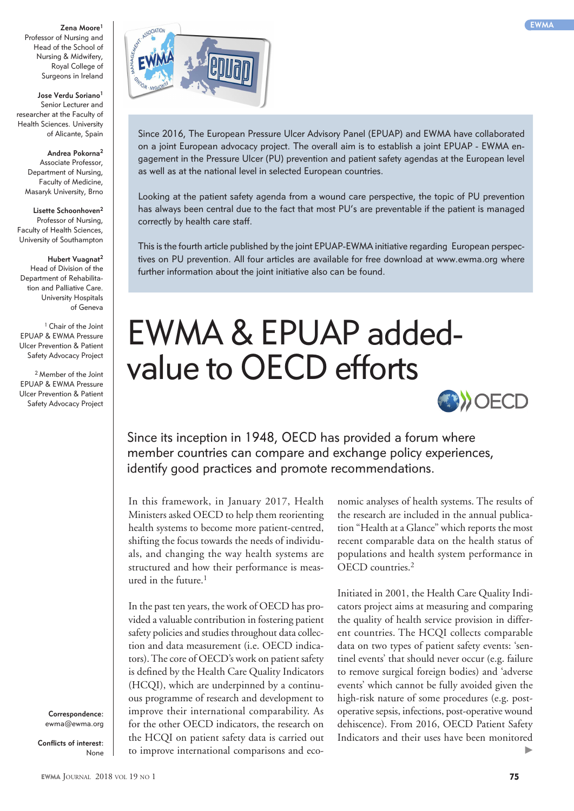Professor of Nursing and Head of the School of Nursing & Midwifery, Royal College of Surgeons in Ireland

**Jose Verdu Soriano1** Senior Lecturer and researcher at the Faculty of Health Sciences. University of Alicante, Spain

**Andrea Pokorna2** Associate Professor, Department of Nursing, Faculty of Medicine, Masaryk University, Brno

**Lisette Schoonhoven2** Professor of Nursing, Faculty of Health Sciences, University of Southampton

> **Hubert Vuagnat2** Head of Division of the

Department of Rehabilitation and Palliative Care. University Hospitals of Geneva

<sup>1</sup> Chair of the Joint EPUAP & EWMA Pressure Ulcer Prevention & Patient Safety Advocacy Project

2 Member of the Joint EPUAP & EWMA Pressure Ulcer Prevention & Patient Safety Advocacy Project

> **Correspondence:**  ewma@ewma.org

**Conflicts of interest:** None



Since 2016, The European Pressure Ulcer Advisory Panel (EPUAP) and EWMA have collaborated on a joint European advocacy project. The overall aim is to establish a joint EPUAP - EWMA engagement in the Pressure Ulcer (PU) prevention and patient safety agendas at the European level as well as at the national level in selected European countries.

Looking at the patient safety agenda from a wound care perspective, the topic of PU prevention has always been central due to the fact that most PU's are preventable if the patient is managed correctly by health care staff.

This is the fourth article published by the joint EPUAP-EWMA initiative regarding European perspectives on PU prevention. All four articles are available for free download at www.ewma.org where further information about the joint initiative also can be found.

## EWMA & EPUAP addedvalue to OECD efforts



Since its inception in 1948, OECD has provided a forum where member countries can compare and exchange policy experiences, identify good practices and promote recommendations.

In this framework, in January 2017, Health Ministers asked OECD to help them reorienting health systems to become more patient-centred, shifting the focus towards the needs of individuals, and changing the way health systems are structured and how their performance is measured in the future. $1$ 

In the past ten years, the work of OECD has provided a valuable contribution in fostering patient safety policies and studies throughout data collection and data measurement (i.e. OECD indicators). The core of OECD's work on patient safety is defined by the Health Care Quality Indicators (HCQI), which are underpinned by a continuous programme of research and development to improve their international comparability. As for the other OECD indicators, the research on the HCQI on patient safety data is carried out to improve international comparisons and economic analyses of health systems. The results of the research are included in the annual publication "Health at a Glance" which reports the most recent comparable data on the health status of populations and health system performance in OECD countries.<sup>2</sup>

Initiated in 2001, the Health Care Quality Indicators project aims at measuring and comparing the quality of health service provision in different countries. The HCQI collects comparable data on two types of patient safety events: 'sentinel events' that should never occur (e.g. failure to remove surgical foreign bodies) and 'adverse events' which cannot be fully avoided given the high-risk nature of some procedures (e.g. postoperative sepsis, infections, post-operative wound dehiscence). From 2016, OECD Patient Safety Indicators and their uses have been monitored ▶